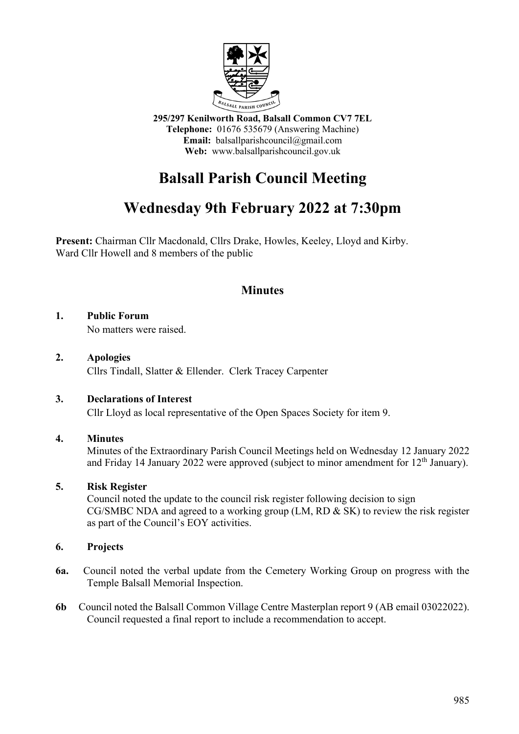

**295/297 Kenilworth Road, Balsall Common CV7 7EL Telephone:** 01676 535679 (Answering Machine) **Email:** balsallparishcouncil@gmail.com **Web:** www.balsallparishcouncil.gov.uk

# **Balsall Parish Council Meeting**

## **Wednesday 9th February 2022 at 7:30pm**

**Present:** Chairman Cllr Macdonald, Cllrs Drake, Howles, Keeley, Lloyd and Kirby. Ward Cllr Howell and 8 members of the public

## **Minutes**

### **1. Public Forum**

No matters were raised.

#### **2. Apologies** Cllrs Tindall, Slatter & Ellender. Clerk Tracey Carpenter

#### **3. Declarations of Interest**

Cllr Lloyd as local representative of the Open Spaces Society for item 9.

#### **4. Minutes**

Minutes of the Extraordinary Parish Council Meetings held on Wednesday 12 January 2022 and Friday 14 January 2022 were approved (subject to minor amendment for  $12<sup>th</sup>$  January).

#### **5. Risk Register**

Council noted the update to the council risk register following decision to sign CG/SMBC NDA and agreed to a working group (LM, RD & SK) to review the risk register as part of the Council's EOY activities.

#### **6. Projects**

- **6a.** Council noted the verbal update from the Cemetery Working Group on progress with the Temple Balsall Memorial Inspection.
- **6b** Council noted the Balsall Common Village Centre Masterplan report 9 (AB email 03022022). Council requested a final report to include a recommendation to accept.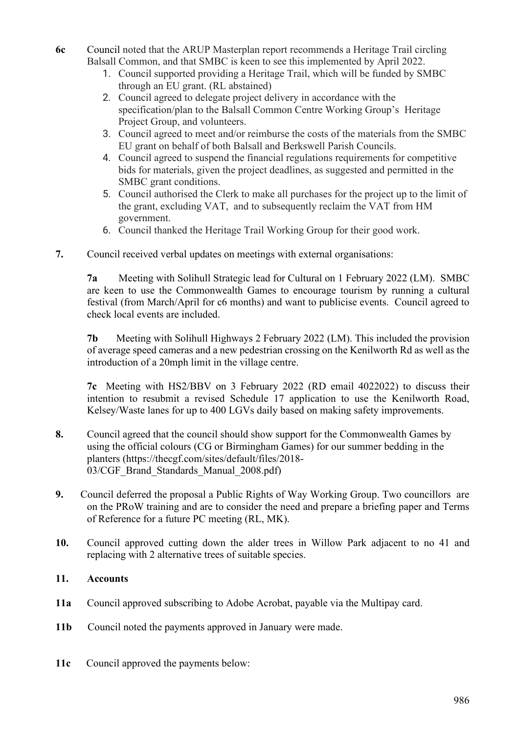- **6c** Council noted that the ARUP Masterplan report recommends a Heritage Trail circling Balsall Common, and that SMBC is keen to see this implemented by April 2022.
	- 1. Council supported providing a Heritage Trail, which will be funded by SMBC through an EU grant. (RL abstained)
	- 2. Council agreed to delegate project delivery in accordance with the specification/plan to the Balsall Common Centre Working Group's Heritage Project Group, and volunteers.
	- 3. Council agreed to meet and/or reimburse the costs of the materials from the SMBC EU grant on behalf of both Balsall and Berkswell Parish Councils.
	- 4. Council agreed to suspend the financial regulations requirements for competitive bids for materials, given the project deadlines, as suggested and permitted in the SMBC grant conditions.
	- 5. Council authorised the Clerk to make all purchases for the project up to the limit of the grant, excluding VAT, and to subsequently reclaim the VAT from HM government.
	- 6. Council thanked the Heritage Trail Working Group for their good work.
- **7.** Council received verbal updates on meetings with external organisations:

**7a** Meeting with Solihull Strategic lead for Cultural on 1 February 2022 (LM). SMBC are keen to use the Commonwealth Games to encourage tourism by running a cultural festival (from March/April for c6 months) and want to publicise events. Council agreed to check local events are included.

**7b** Meeting with Solihull Highways 2 February 2022 (LM). This included the provision of average speed cameras and a new pedestrian crossing on the Kenilworth Rd as well as the introduction of a 20mph limit in the village centre.

**7c** Meeting with HS2/BBV on 3 February 2022 (RD email 4022022) to discuss their intention to resubmit a revised Schedule 17 application to use the Kenilworth Road, Kelsey/Waste lanes for up to 400 LGVs daily based on making safety improvements.

- **8.** Council agreed that the council should show support for the Commonwealth Games by using the official colours (CG or Birmingham Games) for our summer bedding in the planters (https://thecgf.com/sites/default/files/2018- 03/CGF Brand Standards Manual 2008.pdf)
- **9.** Council deferred the proposal a Public Rights of Way Working Group. Two councillors are on the PRoW training and are to consider the need and prepare a briefing paper and Terms of Reference for a future PC meeting (RL, MK).
- **10.** Council approved cutting down the alder trees in Willow Park adjacent to no 41 and replacing with 2 alternative trees of suitable species.

#### **11. Accounts**

- **11a** Council approved subscribing to Adobe Acrobat, payable via the Multipay card.
- **11b** Council noted the payments approved in January were made.
- **11c** Council approved the payments below: